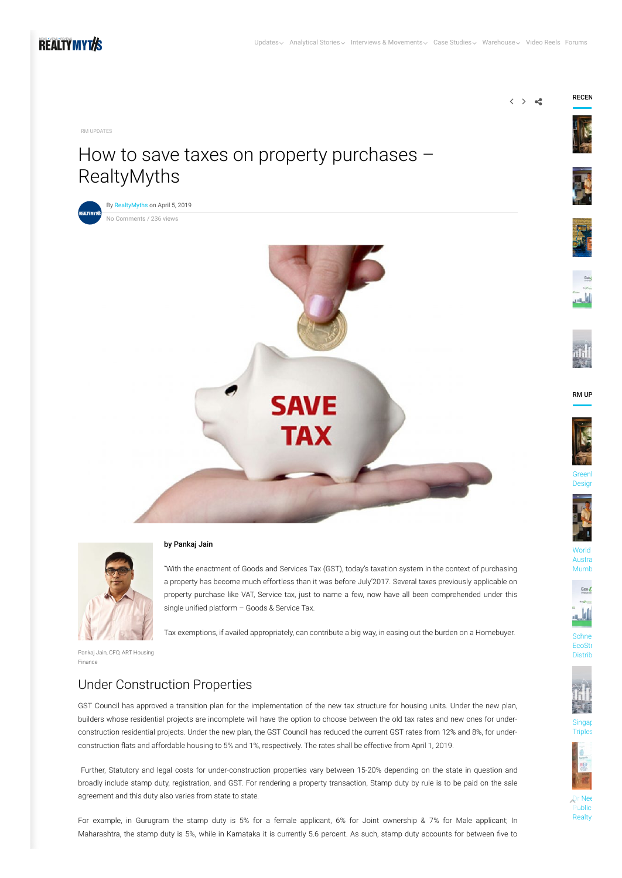

[RM UPDATES](https://www.realtymyths.com/category/rm-updates/)

# How to save taxes on property purchases – RealtyMyths







#### by Pankaj Jain

"With the enactment of Goods and Services Tax (GST), today's taxation system in the context of purchasing a property has become much effortless than it was before July'2017. Several taxes previously applicable on property purchase like VAT, Service tax, just to name a few, now have all been comprehended under this single unified platform  $-$  Goods & Service Tax.

Tax exemptions, if availed appropriately, can contribute a big way, in easing out the burden on a Homebuyer.

Pankaj Jain, CFO, ART Housing Finance

#### Under Construction Properties

GST Council has approved a transition plan for the implementation of the new tax structure for housing units. Under the new plan, builders whose residential projects are incomplete will have the option to choose between the old tax rates and new ones for underconstruction residential projects. Under the new plan, the GST Council has reduced the current GST rates from 12% and 8%, for underconstruction flats and affordable housing to 5% and 1%, respectively. The rates shall be effective from April 1, 2019.

Further, Statutory and legal costs for under-construction properties vary between 15-20% depending on the state in question and broadly include stamp duty, registration, and GST. For rendering a property transaction, Stamp duty by rule is to be paid on the sale agreement and this duty also varies from state to state.

For example, in Gurugram the stamp duty is 5% for a female applicant, 6% for Joint ownership & 7% for Male applicant; In Maharashtra, the stamp duty is 5%, while in Karnataka it is currently 5.6 percent. As such, stamp duty accounts for between five to



RECEN









RM UP















[Singap](https://www.realtymyths.com/singapore-pe-into-indian-real-estate-triples-in-2-years-realtymyths/)

Distrib